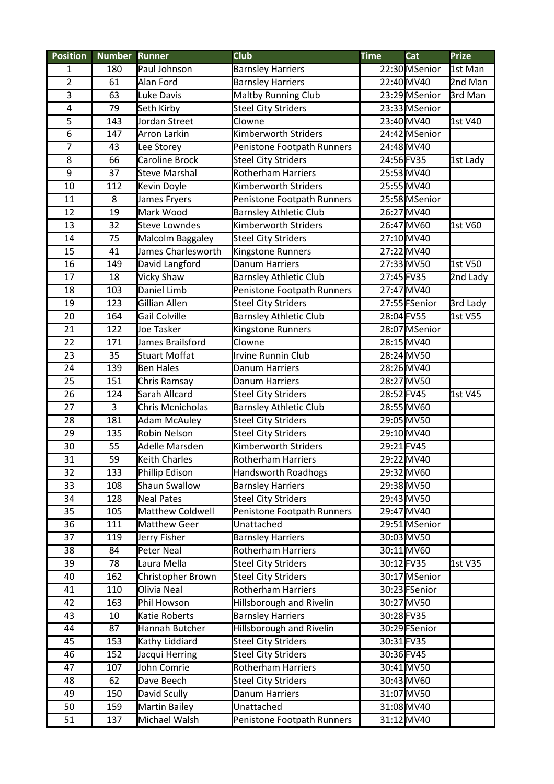| <b>Position</b>         | <b>Number</b>    | <b>Runner</b>         | <b>Club</b>                   | <b>Time</b> | Cat           | <b>Prize</b>   |
|-------------------------|------------------|-----------------------|-------------------------------|-------------|---------------|----------------|
| 1                       | 180              | Paul Johnson          | <b>Barnsley Harriers</b>      |             | 22:30 MSenior | 1st Man        |
| $\overline{2}$          | 61               | Alan Ford             | <b>Barnsley Harriers</b>      |             | 22:40 MV40    | 2nd Man        |
| 3                       | 63               | Luke Davis            | <b>Maltby Running Club</b>    |             | 23:29 MSenior | 3rd Man        |
| $\overline{\mathbf{4}}$ | 79               | Seth Kirby            | <b>Steel City Striders</b>    |             | 23:33 MSenior |                |
| 5                       | $\overline{143}$ | Jordan Street         | Clowne                        |             | 23:40 MV40    | 1st V40        |
| $\overline{6}$          | 147              | <b>Arron Larkin</b>   | <b>Kimberworth Striders</b>   |             | 24:42 MSenior |                |
| $\overline{7}$          | 43               | Lee Storey            | Penistone Footpath Runners    |             | 24:48 MV40    |                |
| 8                       | 66               | <b>Caroline Brock</b> | <b>Steel City Striders</b>    | 24:56 FV35  |               | 1st Lady       |
| $\overline{9}$          | 37               | <b>Steve Marshal</b>  | <b>Rotherham Harriers</b>     |             | 25:53 MV40    |                |
| 10                      | 112              | Kevin Doyle           | Kimberworth Striders          |             | 25:55 MV40    |                |
| 11                      | 8                | James Fryers          | Penistone Footpath Runners    |             | 25:58 MSenior |                |
| 12                      | 19               | Mark Wood             | <b>Barnsley Athletic Club</b> |             | 26:27 MV40    |                |
| 13                      | 32               | <b>Steve Lowndes</b>  | Kimberworth Striders          |             | 26:47 MV60    | 1st V60        |
| 14                      | 75               | Malcolm Baggaley      | <b>Steel City Striders</b>    |             | 27:10 MV40    |                |
| 15                      | 41               | James Charlesworth    | Kingstone Runners             |             | 27:22 MV40    |                |
| 16                      | 149              | David Langford        | <b>Danum Harriers</b>         |             | 27:33 MV50    | 1st V50        |
| 17                      | 18               | <b>Vicky Shaw</b>     | <b>Barnsley Athletic Club</b> | 27:45 FV35  |               | 2nd Lady       |
| 18                      | 103              | Daniel Limb           | Penistone Footpath Runners    |             | 27:47 MV40    |                |
| 19                      | 123              | <b>Gillian Allen</b>  | <b>Steel City Striders</b>    |             | 27:55 FSenior | 3rd Lady       |
| 20                      | 164              | <b>Gail Colville</b>  | <b>Barnsley Athletic Club</b> | 28:04 FV55  |               | <b>1st V55</b> |
| 21                      | 122              | Joe Tasker            | Kingstone Runners             |             | 28:07 MSenior |                |
| 22                      | 171              | James Brailsford      | Clowne                        |             | 28:15 MV40    |                |
| 23                      | $\overline{35}$  | <b>Stuart Moffat</b>  | Irvine Runnin Club            |             | 28:24 MV50    |                |
| 24                      | 139              | <b>Ben Hales</b>      | Danum Harriers                |             | 28:26 MV40    |                |
| 25                      | 151              | Chris Ramsay          | Danum Harriers                |             | 28:27 MV50    |                |
| 26                      | 124              | Sarah Allcard         | <b>Steel City Striders</b>    | 28:52 FV45  |               | 1st V45        |
| 27                      | 3                | Chris Mcnicholas      | <b>Barnsley Athletic Club</b> |             | 28:55 MV60    |                |
| 28                      | 181              | <b>Adam McAuley</b>   | <b>Steel City Striders</b>    |             | 29:05 MV50    |                |
| 29                      | 135              | Robin Nelson          | <b>Steel City Striders</b>    |             | 29:10 MV40    |                |
| 30                      | 55               | Adelle Marsden        | <b>Kimberworth Striders</b>   | 29:21 FV45  |               |                |
| 31                      | 59               | <b>Keith Charles</b>  | <b>Rotherham Harriers</b>     |             | 29:22MV40     |                |
| 32                      | 133              | Phillip Edison        | Handsworth Roadhogs           |             | 29:32 MV60    |                |
| 33                      | 108              | <b>Shaun Swallow</b>  | <b>Barnsley Harriers</b>      |             | 29:38 MV50    |                |
| 34                      | 128              | <b>Neal Pates</b>     | <b>Steel City Striders</b>    |             | 29:43 MV50    |                |
| 35                      | 105              | Matthew Coldwell      | Penistone Footpath Runners    |             | 29:47 MV40    |                |
| 36                      | 111              | <b>Matthew Geer</b>   | Unattached                    |             | 29:51 MSenior |                |
| 37                      | 119              | Jerry Fisher          | <b>Barnsley Harriers</b>      |             | 30:03 MV50    |                |
| 38                      | 84               | Peter Neal            | Rotherham Harriers            |             | 30:11 MV60    |                |
| 39                      | 78               | Laura Mella           | <b>Steel City Striders</b>    | 30:12 FV35  |               | 1st V35        |
| 40                      | 162              | Christopher Brown     | <b>Steel City Striders</b>    |             | 30:17 MSenior |                |
| 41                      | 110              | Olivia Neal           | Rotherham Harriers            |             | 30:23 FSenior |                |
| 42                      | 163              | Phil Howson           | Hillsborough and Rivelin      |             | 30:27 MV50    |                |
| 43                      | 10               | Katie Roberts         | <b>Barnsley Harriers</b>      | 30:28 FV35  |               |                |
| 44                      | 87               | Hannah Butcher        | Hillsborough and Rivelin      |             | 30:29 FSenior |                |
| 45                      | 153              | Kathy Liddiard        | <b>Steel City Striders</b>    | 30:31 FV35  |               |                |
| 46                      | 152              | Jacqui Herring        | <b>Steel City Striders</b>    | 30:36 FV45  |               |                |
| 47                      | 107              | John Comrie           | <b>Rotherham Harriers</b>     |             | 30:41 MV50    |                |
| 48                      | 62               | Dave Beech            | <b>Steel City Striders</b>    |             | 30:43 MV60    |                |
| 49                      | 150              | David Scully          | Danum Harriers                |             | 31:07 MV50    |                |
| 50                      | 159              | <b>Martin Bailey</b>  | Unattached                    |             | 31:08 MV40    |                |
| 51                      | 137              | Michael Walsh         | Penistone Footpath Runners    |             | 31:12 MV40    |                |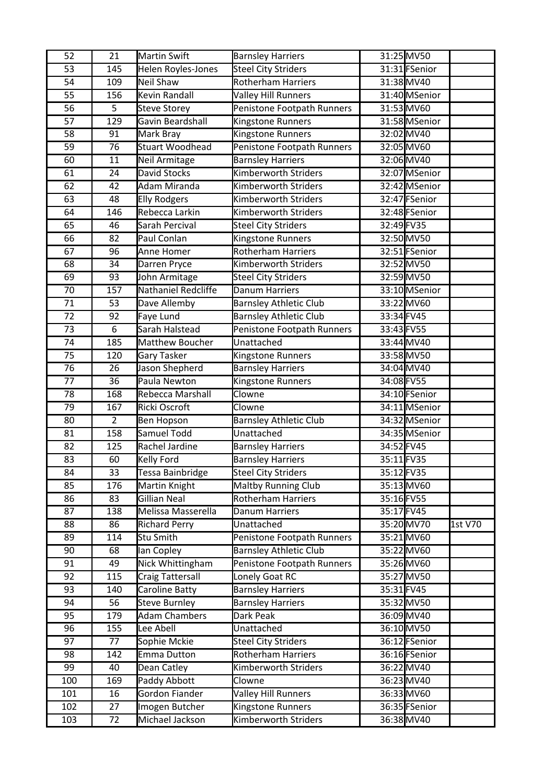| 52  | 21  | <b>Martin Swift</b>     | <b>Barnsley Harriers</b>      |            | 31:25 MV50    |         |
|-----|-----|-------------------------|-------------------------------|------------|---------------|---------|
| 53  | 145 | Helen Royles-Jones      | <b>Steel City Striders</b>    |            | 31:31 FSenior |         |
| 54  | 109 | <b>Neil Shaw</b>        | Rotherham Harriers            |            | 31:38 MV40    |         |
| 55  | 156 | <b>Kevin Randall</b>    | <b>Valley Hill Runners</b>    |            | 31:40 MSenior |         |
| 56  | 5   | <b>Steve Storey</b>     | Penistone Footpath Runners    |            | 31:53 MV60    |         |
| 57  | 129 | Gavin Beardshall        | Kingstone Runners             |            | 31:58 MSenior |         |
| 58  | 91  | Mark Bray               | Kingstone Runners             |            | 32:02 MV40    |         |
| 59  | 76  | <b>Stuart Woodhead</b>  | Penistone Footpath Runners    |            | 32:05 MV60    |         |
| 60  | 11  | Neil Armitage           | <b>Barnsley Harriers</b>      |            | 32:06 MV40    |         |
| 61  | 24  | David Stocks            | <b>Kimberworth Striders</b>   |            | 32:07 MSenior |         |
| 62  | 42  | Adam Miranda            | <b>Kimberworth Striders</b>   |            | 32:42 MSenior |         |
| 63  | 48  | <b>Elly Rodgers</b>     | Kimberworth Striders          |            | 32:47 FSenior |         |
| 64  | 146 | Rebecca Larkin          | <b>Kimberworth Striders</b>   |            | 32:48 FSenior |         |
| 65  | 46  | Sarah Percival          | <b>Steel City Striders</b>    | 32:49 FV35 |               |         |
| 66  | 82  | Paul Conlan             | Kingstone Runners             |            | 32:50 MV50    |         |
| 67  | 96  | Anne Homer              | <b>Rotherham Harriers</b>     |            | 32:51 FSenior |         |
| 68  | 34  | Darren Pryce            | <b>Kimberworth Striders</b>   |            | 32:52 MV50    |         |
| 69  | 93  | John Armitage           | <b>Steel City Striders</b>    |            | 32:59 MV50    |         |
| 70  | 157 | Nathaniel Redcliffe     | <b>Danum Harriers</b>         |            | 33:10 MSenior |         |
| 71  | 53  | Dave Allemby            | <b>Barnsley Athletic Club</b> |            | 33:22 MV60    |         |
| 72  | 92  | <b>Faye Lund</b>        | <b>Barnsley Athletic Club</b> | 33:34 FV45 |               |         |
| 73  | 6   | Sarah Halstead          | Penistone Footpath Runners    | 33:43 FV55 |               |         |
| 74  | 185 | Matthew Boucher         | Unattached                    |            | 33:44 MV40    |         |
| 75  | 120 | Gary Tasker             | Kingstone Runners             |            | 33:58 MV50    |         |
| 76  | 26  | Jason Shepherd          | <b>Barnsley Harriers</b>      |            | 34:04 MV40    |         |
| 77  | 36  | Paula Newton            | Kingstone Runners             | 34:08 FV55 |               |         |
| 78  | 168 | Rebecca Marshall        | Clowne                        |            | 34:10 FSenior |         |
| 79  | 167 | Ricki Oscroft           | Clowne                        |            | 34:11 MSenior |         |
| 80  | 2   | Ben Hopson              | <b>Barnsley Athletic Club</b> |            | 34:32 MSenior |         |
| 81  | 158 | Samuel Todd             | Unattached                    |            | 34:35 MSenior |         |
| 82  | 125 | Rachel Jardine          | <b>Barnsley Harriers</b>      | 34:52 FV45 |               |         |
| 83  | 60  | Kelly Ford              | <b>Barnsley Harriers</b>      | 35:11 FV35 |               |         |
| 84  | 33  | Tessa Bainbridge        | Steel City Striders           | 35:12 FV35 |               |         |
| 85  | 176 | Martin Knight           | <b>Maltby Running Club</b>    |            | 35:13 MV60    |         |
| 86  | 83  | Gillian Neal            | <b>Rotherham Harriers</b>     | 35:16 FV55 |               |         |
| 87  | 138 | Melissa Masserella      | Danum Harriers                |            | 35:17 FV45    |         |
| 88  | 86  | <b>Richard Perry</b>    | Unattached                    |            | 35:20 MV70    | 1st V70 |
| 89  | 114 | <b>Stu Smith</b>        | Penistone Footpath Runners    |            | 35:21 MV60    |         |
| 90  | 68  | lan Copley              | <b>Barnsley Athletic Club</b> |            | 35:22 MV60    |         |
| 91  | 49  | Nick Whittingham        | Penistone Footpath Runners    |            | 35:26 MV60    |         |
| 92  | 115 | <b>Craig Tattersall</b> | Lonely Goat RC                |            | 35:27 MV50    |         |
| 93  | 140 | Caroline Batty          | <b>Barnsley Harriers</b>      |            | 35:31 FV45    |         |
| 94  | 56  | <b>Steve Burnley</b>    | <b>Barnsley Harriers</b>      |            | 35:32 MV50    |         |
| 95  | 179 | <b>Adam Chambers</b>    | Dark Peak                     |            | 36:09 MV40    |         |
| 96  | 155 | Lee Abell               | Unattached                    |            | 36:10 MV50    |         |
| 97  | 77  | Sophie Mckie            | <b>Steel City Striders</b>    |            | 36:12 FSenior |         |
| 98  | 142 | Emma Dutton             | <b>Rotherham Harriers</b>     |            | 36:16 FSenior |         |
| 99  | 40  | Dean Catley             | Kimberworth Striders          |            | 36:22 MV40    |         |
| 100 | 169 | Paddy Abbott            | Clowne                        |            | 36:23 MV40    |         |
| 101 | 16  | Gordon Fiander          | <b>Valley Hill Runners</b>    |            | 36:33 MV60    |         |
| 102 | 27  | Imogen Butcher          | Kingstone Runners             |            | 36:35 FSenior |         |
| 103 | 72  | Michael Jackson         | Kimberworth Striders          |            | 36:38 MV40    |         |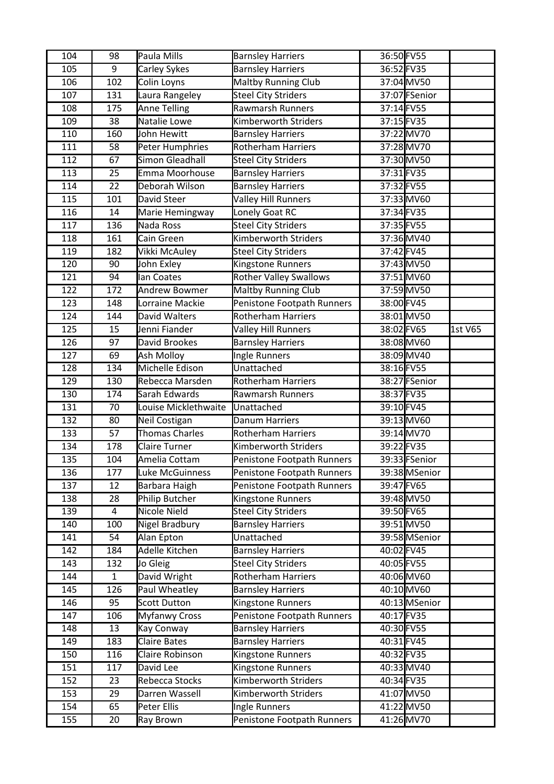| 104              | 98              | Paula Mills           | <b>Barnsley Harriers</b>      | 36:50 FV55 |               |         |
|------------------|-----------------|-----------------------|-------------------------------|------------|---------------|---------|
| 105              | 9               | Carley Sykes          | <b>Barnsley Harriers</b>      | 36:52 FV35 |               |         |
| 106              | 102             | Colin Loyns           | Maltby Running Club           |            | 37:04 MV50    |         |
| 107              | 131             | Laura Rangeley        | <b>Steel City Striders</b>    |            | 37:07 FSenior |         |
| 108              | 175             | <b>Anne Telling</b>   | Rawmarsh Runners              | 37:14 FV55 |               |         |
| 109              | $\overline{38}$ | Natalie Lowe          | <b>Kimberworth Striders</b>   | 37:15 FV35 |               |         |
| 110              | 160             | John Hewitt           | <b>Barnsley Harriers</b>      |            | 37:22 MV70    |         |
| 111              | 58              | Peter Humphries       | <b>Rotherham Harriers</b>     |            | 37:28 MV70    |         |
| 112              | 67              | Simon Gleadhall       | <b>Steel City Striders</b>    |            | 37:30 MV50    |         |
| 113              | 25              | Emma Moorhouse        | <b>Barnsley Harriers</b>      | 37:31 FV35 |               |         |
| 114              | 22              | Deborah Wilson        | <b>Barnsley Harriers</b>      | 37:32 FV55 |               |         |
| 115              | 101             | David Steer           | <b>Valley Hill Runners</b>    |            | 37:33 MV60    |         |
| 116              | 14              | Marie Hemingway       | Lonely Goat RC                | 37:34 FV35 |               |         |
| 117              | 136             | Nada Ross             | <b>Steel City Striders</b>    | 37:35 FV55 |               |         |
| 118              | 161             | Cain Green            | Kimberworth Striders          |            | 37:36 MV40    |         |
| 119              | 182             | Vikki McAuley         | <b>Steel City Striders</b>    | 37:42 FV45 |               |         |
| 120              | 90              | John Exley            | Kingstone Runners             |            | 37:43 MV50    |         |
| 121              | 94              | lan Coates            | <b>Rother Valley Swallows</b> |            | 37:51 MV60    |         |
| 122              | 172             | <b>Andrew Bowmer</b>  | <b>Maltby Running Club</b>    |            | 37:59 MV50    |         |
| 123              | 148             | Lorraine Mackie       | Penistone Footpath Runners    | 38:00 FV45 |               |         |
| $\overline{1}24$ | 144             | David Walters         | <b>Rotherham Harriers</b>     |            | 38:01 MV50    |         |
| 125              | 15              | Jenni Fiander         | <b>Valley Hill Runners</b>    | 38:02 FV65 |               | 1st V65 |
| 126              | 97              | David Brookes         | <b>Barnsley Harriers</b>      |            | 38:08 MV60    |         |
| 127              | 69              | Ash Molloy            | Ingle Runners                 |            | 38:09 MV40    |         |
| 128              | 134             | Michelle Edison       | Unattached                    | 38:16 FV55 |               |         |
| 129              | 130             | Rebecca Marsden       | <b>Rotherham Harriers</b>     |            | 38:27 FSenior |         |
| 130              | 174             | Sarah Edwards         | <b>Rawmarsh Runners</b>       | 38:37 FV35 |               |         |
| 131              | 70              | Louise Micklethwaite  | Unattached                    | 39:10 FV45 |               |         |
| 132              | 80              | Neil Costigan         | <b>Danum Harriers</b>         |            | 39:13 MV60    |         |
| 133              | 57              | <b>Thomas Charles</b> | <b>Rotherham Harriers</b>     |            | 39:14 MV70    |         |
| 134              | 178             | <b>Claire Turner</b>  | <b>Kimberworth Striders</b>   | 39:22 FV35 |               |         |
| 135              | 104             | Amelia Cottam         | Penistone Footpath Runners    |            | 39:33 FSenior |         |
| 136              | 177             | Luke McGuinness       | Penistone Footpath Runners    |            | 39:38 MSenior |         |
| 137              | 12              | Barbara Haigh         | Penistone Footpath Runners    | 39:47 FV65 |               |         |
| 138              | 28              | Philip Butcher        | Kingstone Runners             |            | 39:48 MV50    |         |
| 139              | 4               | Nicole Nield          | <b>Steel City Striders</b>    |            | 39:50 FV65    |         |
| 140              | 100             | <b>Nigel Bradbury</b> | <b>Barnsley Harriers</b>      |            | 39:51 MV50    |         |
| 141              | 54              | Alan Epton            | Unattached                    |            | 39:58 MSenior |         |
| 142              | 184             | Adelle Kitchen        | <b>Barnsley Harriers</b>      | 40:02 FV45 |               |         |
| 143              | 132             | Jo Gleig              | <b>Steel City Striders</b>    | 40:05 FV55 |               |         |
| 144              | $\mathbf{1}$    | David Wright          | <b>Rotherham Harriers</b>     |            | 40:06 MV60    |         |
| 145              | 126             | Paul Wheatley         | <b>Barnsley Harriers</b>      |            | 40:10 MV60    |         |
| 146              | 95              | <b>Scott Dutton</b>   | Kingstone Runners             |            | 40:13 MSenior |         |
| 147              | 106             | <b>Myfanwy Cross</b>  | Penistone Footpath Runners    | 40:17 FV35 |               |         |
| 148              | 13              | Kay Conway            | <b>Barnsley Harriers</b>      | 40:30 FV55 |               |         |
| 149              | 183             | <b>Claire Bates</b>   | <b>Barnsley Harriers</b>      | 40:31 FV45 |               |         |
| 150              | 116             | Claire Robinson       | Kingstone Runners             | 40:32 FV35 |               |         |
| 151              | 117             | David Lee             | Kingstone Runners             |            | 40:33MV40     |         |
| 152              | 23              | Rebecca Stocks        | Kimberworth Striders          | 40:34 FV35 |               |         |
| 153              | 29              | Darren Wassell        | Kimberworth Striders          |            | 41:07 MV50    |         |
| 154              | 65              | Peter Ellis           | Ingle Runners                 |            | 41:22 MV50    |         |
| 155              | 20              | Ray Brown             | Penistone Footpath Runners    |            | 41:26 MV70    |         |